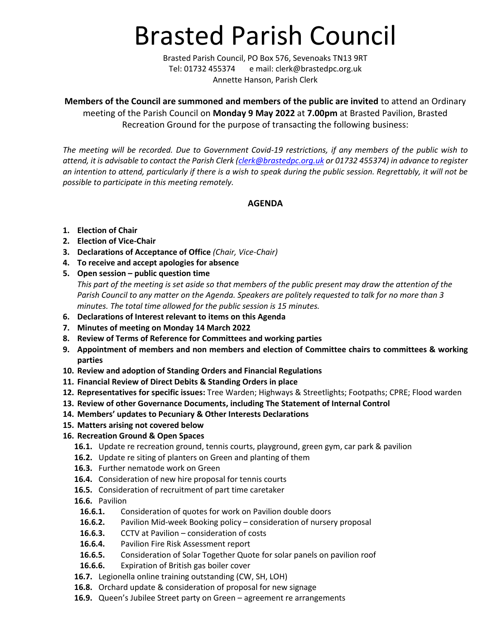# Brasted Parish Council

Brasted Parish Council, PO Box 576, Sevenoaks TN13 9RT Tel: 01732 455374 e mail: clerk@brastedpc.org.uk Annette Hanson, Parish Clerk

**Members of the Council are summoned and members of the public are invited** to attend an Ordinary meeting of the Parish Council on **Monday 9 May 2022** at **7.00pm** at Brasted Pavilion, Brasted Recreation Ground for the purpose of transacting the following business:

*The meeting will be recorded. Due to Government Covid-19 restrictions, if any members of the public wish to attend, it is advisable to contact the Parish Clerk [\(clerk@brastedpc.org.uk](mailto:clerk@brastedpc.org.uk) or 01732 455374) in advance to register an intention to attend, particularly if there is a wish to speak during the public session. Regrettably, it will not be possible to participate in this meeting remotely.* 

# **AGENDA**

- **1. Election of Chair**
- **2. Election of Vice-Chair**
- **3. Declarations of Acceptance of Office** *(Chair, Vice-Chair)*
- **4. To receive and accept apologies for absence**
- **5. Open session – public question time** *This part of the meeting is set aside so that members of the public present may draw the attention of the Parish Council to any matter on the Agenda. Speakers are politely requested to talk for no more than 3 minutes. The total time allowed for the public session is 15 minutes.*
- **6. Declarations of Interest relevant to items on this Agenda**
- **7. Minutes of meeting on Monday 14 March 2022**
- **8. Review of Terms of Reference for Committees and working parties**
- **9. Appointment of members and non members and election of Committee chairs to committees & working parties**
- **10. Review and adoption of Standing Orders and Financial Regulations**
- **11. Financial Review of Direct Debits & Standing Orders in place**
- **12. Representatives for specific issues:** Tree Warden; Highways & Streetlights; Footpaths; CPRE; Flood warden
- **13. Review of other Governance Documents, including The Statement of Internal Control**
- **14. Members' updates to Pecuniary & Other Interests Declarations**
- **15. Matters arising not covered below**
- **16. Recreation Ground & Open Spaces**
	- **16.1.** Update re recreation ground, tennis courts, playground, green gym, car park & pavilion
	- **16.2.** Update re siting of planters on Green and planting of them
	- **16.3.** Further nematode work on Green
	- **16.4.** Consideration of new hire proposal for tennis courts
	- **16.5.** Consideration of recruitment of part time caretaker
	- **16.6.** Pavilion
		- **16.6.1.** Consideration of quotes for work on Pavilion double doors
		- **16.6.2.** Pavilion Mid-week Booking policy consideration of nursery proposal
		- **16.6.3.** CCTV at Pavilion consideration of costs
		- **16.6.4.** Pavilion Fire Risk Assessment report
		- **16.6.5.** Consideration of Solar Together Quote for solar panels on pavilion roof
		- **16.6.6.** Expiration of British gas boiler cover
	- **16.7.** Legionella online training outstanding (CW, SH, LOH)
	- **16.8.** Orchard update & consideration of proposal for new signage
	- **16.9.** Queen's Jubilee Street party on Green agreement re arrangements